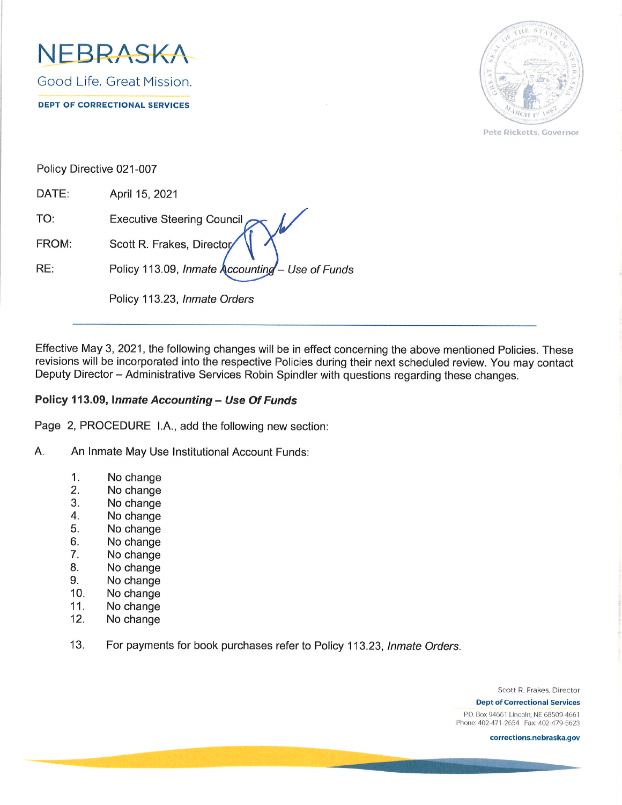



Pete Ricketts, Governor

Policy Directive 021-007

DATE: April 15,2021 TO: Executive Steering Council FROM: Scott R. Frakes, Director RE: Policy 113.09, Inmate  $\lambda$  counting – Use of Funds Policy 113.23, lnmate Orders

Effective May 3, 2021, the following changes will be in effect concerning the above mentioned Policies. These revisions will be incorporated into the respective Policies during their next scheduled review. You may contact Deputy Director - Administrative Services Robin Spindler with questions regarding these changes.

## Policy 113.09, Inmate Accounting - Use Of Funds

Page 2, PROCEDURE LA., add the following new section:

- A. An Inmate May Use Institutional Account Funds:
	- 1. No change
	- 2. No change
	- 3. No change
	- 4. No change
	- 5. No change
	- 6. No change
	- 7. No change
	- 8. No change
	- 9. No change
	- 10 No change
	- 11 No change
	- 12 No change
	- 13. For payments for book purchases refer to Policy 113.23, Inmate Orders.

Scott R. Frakes, Director

**Dept of Correctional Services** P.O. Box 94661 Lincoln, NE 68509-4661 Phone: 402-471-2654 Fax: 402-479-5623

corrections.nebraska.gov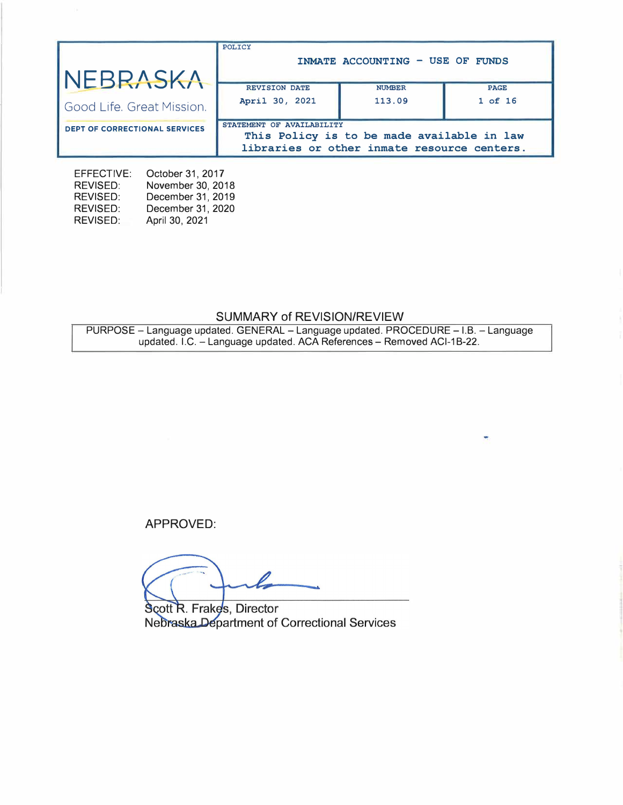| NEBRASKA                             | POLICY<br>INMATE ACCOUNTING - USE OF FUNDS |                                                                                           |             |  |
|--------------------------------------|--------------------------------------------|-------------------------------------------------------------------------------------------|-------------|--|
|                                      | <b>REVISION DATE</b>                       | <b>NUMBER</b>                                                                             | <b>PAGE</b> |  |
| Good Life, Great Mission.            | April 30, 2021                             | 113.09                                                                                    | $1$ of $16$ |  |
| <b>DEPT OF CORRECTIONAL SERVICES</b> | STATEMENT OF AVAILABILITY                  | This Policy is to be made available in law<br>libraries or other inmate resource centers. |             |  |

EFFECTIVE: October 31, 2017 REVISED: REVISED: REVISED: REVISED: November 30, 2018 December 31, 2019 December 31, 2020 April 30, 2021

# SUMMARY of REVISION/REVIEW

PURPOSE - Language updated. GENERAL - Language updated. PROCEDURE - I.B. - Language updated. I.C. – Language updated. ACA References – Removed ACI-1B-22.

÷

APPROVED:

Scott R. Frakes, Director Nebraska Department of Correctional Services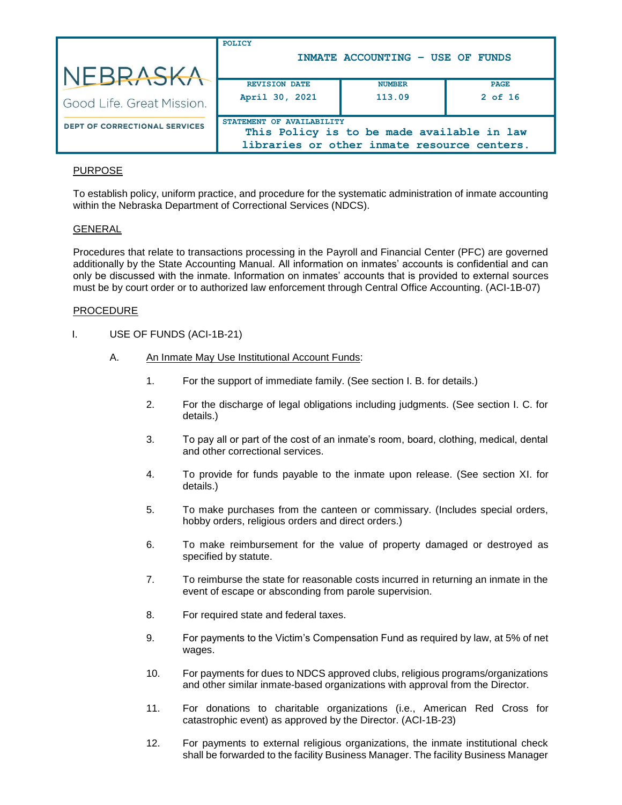|                                       | POLICY                                 | INMATE ACCOUNTING - USE OF FUNDS                                                          |                          |
|---------------------------------------|----------------------------------------|-------------------------------------------------------------------------------------------|--------------------------|
| NEBRASKA<br>Good Life. Great Mission. | <b>REVISION DATE</b><br>April 30, 2021 | <b>NUMBER</b><br>113.09                                                                   | <b>PAGE</b><br>$2$ of 16 |
| <b>DEPT OF CORRECTIONAL SERVICES</b>  | STATEMENT OF AVAILABILITY              | This Policy is to be made available in law<br>libraries or other inmate resource centers. |                          |

## PURPOSE

To establish policy, uniform practice, and procedure for the systematic administration of inmate accounting within the Nebraska Department of Correctional Services (NDCS).

## GENERAL

Procedures that relate to transactions processing in the Payroll and Financial Center (PFC) are governed additionally by the State Accounting Manual. All information on inmates' accounts is confidential and can only be discussed with the inmate. Information on inmates' accounts that is provided to external sources must be by court order or to authorized law enforcement through Central Office Accounting. (ACI-1B-07)

#### PROCEDURE

- I. USE OF FUNDS (ACI-1B-21)
	- A. An Inmate May Use Institutional Account Funds:
		- 1. For the support of immediate family. (See section I. B. for details.)
		- 2. For the discharge of legal obligations including judgments. (See section I. C. for details.)
		- 3. To pay all or part of the cost of an inmate's room, board, clothing, medical, dental and other correctional services.
		- 4. To provide for funds payable to the inmate upon release. (See section XI. for details.)
		- 5. To make purchases from the canteen or commissary. (Includes special orders, hobby orders, religious orders and direct orders.)
		- 6. To make reimbursement for the value of property damaged or destroyed as specified by statute.
		- 7. To reimburse the state for reasonable costs incurred in returning an inmate in the event of escape or absconding from parole supervision.
		- 8. For required state and federal taxes.
		- 9. For payments to the Victim's Compensation Fund as required by law, at 5% of net wages.
		- 10. For payments for dues to NDCS approved clubs, religious programs/organizations and other similar inmate-based organizations with approval from the Director.
		- 11. For donations to charitable organizations (i.e., American Red Cross for catastrophic event) as approved by the Director. (ACI-1B-23)
		- 12. For payments to external religious organizations, the inmate institutional check shall be forwarded to the facility Business Manager. The facility Business Manager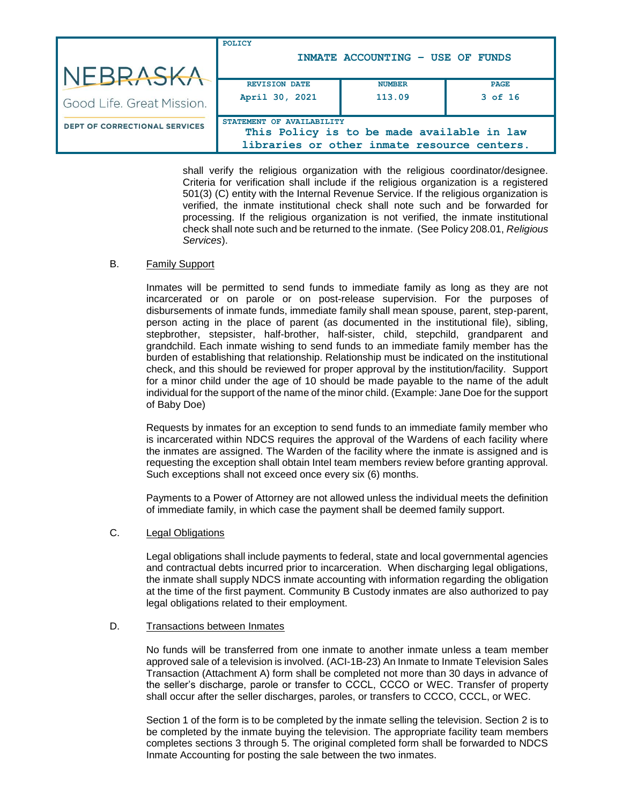|                                      | <b>POLICY</b>             | INMATE ACCOUNTING - USE OF FUNDS                                                          |             |
|--------------------------------------|---------------------------|-------------------------------------------------------------------------------------------|-------------|
| NEBRASKA                             |                           |                                                                                           |             |
|                                      | <b>REVISION DATE</b>      | <b>NUMBER</b>                                                                             | <b>PAGE</b> |
| Good Life, Great Mission.            | April 30, 2021            | 113.09                                                                                    | $3$ of 16   |
| <b>DEPT OF CORRECTIONAL SERVICES</b> | STATEMENT OF AVAILABILITY |                                                                                           |             |
|                                      |                           | This Policy is to be made available in law<br>libraries or other inmate resource centers. |             |

shall verify the religious organization with the religious coordinator/designee. Criteria for verification shall include if the religious organization is a registered 501(3) (C) entity with the Internal Revenue Service. If the religious organization is verified, the inmate institutional check shall note such and be forwarded for processing. If the religious organization is not verified, the inmate institutional check shall note such and be returned to the inmate. (See Policy 208.01, *Religious Services*).

#### B. Family Support

Inmates will be permitted to send funds to immediate family as long as they are not incarcerated or on parole or on post-release supervision. For the purposes of disbursements of inmate funds, immediate family shall mean spouse, parent, step-parent, person acting in the place of parent (as documented in the institutional file), sibling, stepbrother, stepsister, half-brother, half-sister, child, stepchild, grandparent and grandchild. Each inmate wishing to send funds to an immediate family member has the burden of establishing that relationship. Relationship must be indicated on the institutional check, and this should be reviewed for proper approval by the institution/facility. Support for a minor child under the age of 10 should be made payable to the name of the adult individual for the support of the name of the minor child. (Example: Jane Doe for the support of Baby Doe)

Requests by inmates for an exception to send funds to an immediate family member who is incarcerated within NDCS requires the approval of the Wardens of each facility where the inmates are assigned. The Warden of the facility where the inmate is assigned and is requesting the exception shall obtain Intel team members review before granting approval. Such exceptions shall not exceed once every six (6) months.

Payments to a Power of Attorney are not allowed unless the individual meets the definition of immediate family, in which case the payment shall be deemed family support.

### C. Legal Obligations

Legal obligations shall include payments to federal, state and local governmental agencies and contractual debts incurred prior to incarceration. When discharging legal obligations, the inmate shall supply NDCS inmate accounting with information regarding the obligation at the time of the first payment. Community B Custody inmates are also authorized to pay legal obligations related to their employment.

#### D. Transactions between Inmates

No funds will be transferred from one inmate to another inmate unless a team member approved sale of a television is involved. (ACI-1B-23) An Inmate to Inmate Television Sales Transaction (Attachment A) form shall be completed not more than 30 days in advance of the seller's discharge, parole or transfer to CCCL, CCCO or WEC. Transfer of property shall occur after the seller discharges, paroles, or transfers to CCCO, CCCL, or WEC.

Section 1 of the form is to be completed by the inmate selling the television. Section 2 is to be completed by the inmate buying the television. The appropriate facility team members completes sections 3 through 5. The original completed form shall be forwarded to NDCS Inmate Accounting for posting the sale between the two inmates.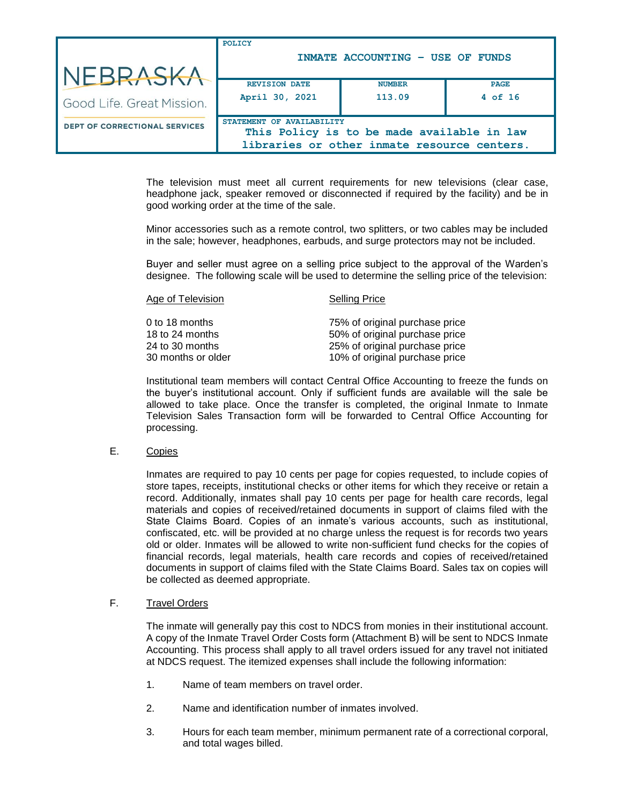| NEBRASKA                             | POLICY                                 | INMATE ACCOUNTING - USE OF FUNDS                                                          |                          |
|--------------------------------------|----------------------------------------|-------------------------------------------------------------------------------------------|--------------------------|
| Good Life, Great Mission.            | <b>REVISION DATE</b><br>April 30, 2021 | <b>NUMBER</b><br>113.09                                                                   | <b>PAGE</b><br>$4$ of 16 |
| <b>DEPT OF CORRECTIONAL SERVICES</b> | STATEMENT OF AVAILABILITY              | This Policy is to be made available in law<br>libraries or other inmate resource centers. |                          |

The television must meet all current requirements for new televisions (clear case, headphone jack, speaker removed or disconnected if required by the facility) and be in good working order at the time of the sale.

Minor accessories such as a remote control, two splitters, or two cables may be included in the sale; however, headphones, earbuds, and surge protectors may not be included.

Buyer and seller must agree on a selling price subject to the approval of the Warden's designee. The following scale will be used to determine the selling price of the television:

| Age of Television  | <b>Selling Price</b>           |
|--------------------|--------------------------------|
| 0 to 18 months     | 75% of original purchase price |
| 18 to 24 months    | 50% of original purchase price |
| 24 to 30 months    | 25% of original purchase price |
| 30 months or older | 10% of original purchase price |

Institutional team members will contact Central Office Accounting to freeze the funds on the buyer's institutional account. Only if sufficient funds are available will the sale be allowed to take place. Once the transfer is completed, the original Inmate to Inmate Television Sales Transaction form will be forwarded to Central Office Accounting for processing.

E. Copies

Inmates are required to pay 10 cents per page for copies requested, to include copies of store tapes, receipts, institutional checks or other items for which they receive or retain a record. Additionally, inmates shall pay 10 cents per page for health care records, legal materials and copies of received/retained documents in support of claims filed with the State Claims Board. Copies of an inmate's various accounts, such as institutional, confiscated, etc. will be provided at no charge unless the request is for records two years old or older. Inmates will be allowed to write non-sufficient fund checks for the copies of financial records, legal materials, health care records and copies of received/retained documents in support of claims filed with the State Claims Board. Sales tax on copies will be collected as deemed appropriate.

#### F. Travel Orders

The inmate will generally pay this cost to NDCS from monies in their institutional account. A copy of the Inmate Travel Order Costs form (Attachment B) will be sent to NDCS Inmate Accounting. This process shall apply to all travel orders issued for any travel not initiated at NDCS request. The itemized expenses shall include the following information:

- 1. Name of team members on travel order.
- 2. Name and identification number of inmates involved.
- 3. Hours for each team member, minimum permanent rate of a correctional corporal, and total wages billed.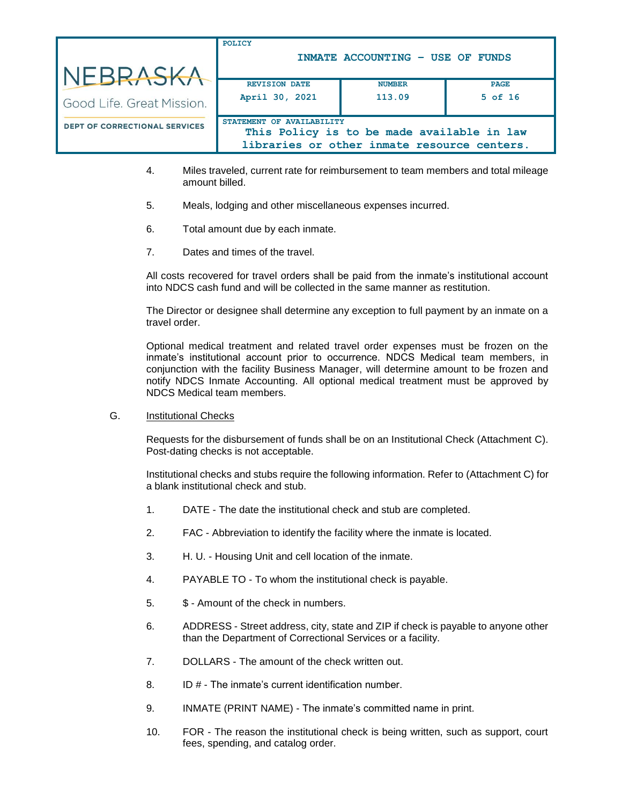|                                      | POLICY                    | INMATE ACCOUNTING - USE OF FUNDS            |             |
|--------------------------------------|---------------------------|---------------------------------------------|-------------|
| NEBRASKA                             |                           |                                             |             |
|                                      | <b>REVISION DATE</b>      | <b>NUMBER</b>                               | <b>PAGE</b> |
| Good Life. Great Mission.            | April 30, 2021            | 113.09                                      | $5$ of $16$ |
| <b>DEPT OF CORRECTIONAL SERVICES</b> | STATEMENT OF AVAILABILITY | This Policy is to be made available in law  |             |
|                                      |                           | libraries or other inmate resource centers. |             |

- 4. Miles traveled, current rate for reimbursement to team members and total mileage amount billed.
- 5. Meals, lodging and other miscellaneous expenses incurred.
- 6. Total amount due by each inmate.
- 7. Dates and times of the travel.

All costs recovered for travel orders shall be paid from the inmate's institutional account into NDCS cash fund and will be collected in the same manner as restitution.

The Director or designee shall determine any exception to full payment by an inmate on a travel order.

Optional medical treatment and related travel order expenses must be frozen on the inmate's institutional account prior to occurrence. NDCS Medical team members, in conjunction with the facility Business Manager, will determine amount to be frozen and notify NDCS Inmate Accounting. All optional medical treatment must be approved by NDCS Medical team members.

G. Institutional Checks

Requests for the disbursement of funds shall be on an Institutional Check (Attachment C). Post-dating checks is not acceptable.

Institutional checks and stubs require the following information. Refer to (Attachment C) for a blank institutional check and stub.

- 1. DATE The date the institutional check and stub are completed.
- 2. FAC Abbreviation to identify the facility where the inmate is located.
- 3. H. U. Housing Unit and cell location of the inmate.
- 4. PAYABLE TO To whom the institutional check is payable.
- 5. \$ Amount of the check in numbers.
- 6. ADDRESS Street address, city, state and ZIP if check is payable to anyone other than the Department of Correctional Services or a facility.
- 7. DOLLARS The amount of the check written out.
- 8. ID # The inmate's current identification number.
- 9. INMATE (PRINT NAME) The inmate's committed name in print.
- 10. FOR The reason the institutional check is being written, such as support, court fees, spending, and catalog order.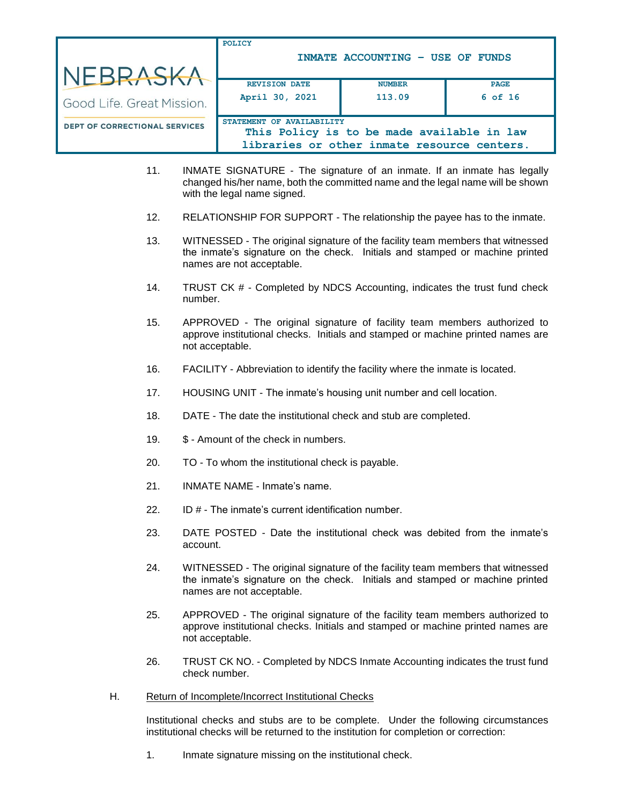|                                      | POLICY                    | INMATE ACCOUNTING - USE OF FUNDS                                                          |             |
|--------------------------------------|---------------------------|-------------------------------------------------------------------------------------------|-------------|
| NEBRASKA                             |                           |                                                                                           |             |
|                                      | <b>REVISION DATE</b>      | <b>NUMBER</b>                                                                             | <b>PAGE</b> |
| Good Life. Great Mission.            | April 30, 2021            | 113.09                                                                                    | $6$ of 16   |
| <b>DEPT OF CORRECTIONAL SERVICES</b> | STATEMENT OF AVAILABILITY | This Policy is to be made available in law<br>libraries or other inmate resource centers. |             |

- 11. INMATE SIGNATURE The signature of an inmate. If an inmate has legally changed his/her name, both the committed name and the legal name will be shown with the legal name signed.
- 12. RELATIONSHIP FOR SUPPORT The relationship the payee has to the inmate.
- 13. WITNESSED The original signature of the facility team members that witnessed the inmate's signature on the check. Initials and stamped or machine printed names are not acceptable.
- 14. TRUST CK # Completed by NDCS Accounting, indicates the trust fund check number.
- 15. APPROVED The original signature of facility team members authorized to approve institutional checks. Initials and stamped or machine printed names are not acceptable.
- 16. FACILITY Abbreviation to identify the facility where the inmate is located.
- 17. HOUSING UNIT The inmate's housing unit number and cell location.
- 18. DATE The date the institutional check and stub are completed.
- 19. \$ Amount of the check in numbers.
- 20. TO To whom the institutional check is payable.
- 21. INMATE NAME Inmate's name.
- 22. ID # The inmate's current identification number.
- 23. DATE POSTED Date the institutional check was debited from the inmate's account.
- 24. WITNESSED The original signature of the facility team members that witnessed the inmate's signature on the check. Initials and stamped or machine printed names are not acceptable.
- 25. APPROVED The original signature of the facility team members authorized to approve institutional checks. Initials and stamped or machine printed names are not acceptable.
- 26. TRUST CK NO. Completed by NDCS Inmate Accounting indicates the trust fund check number.
- H. Return of Incomplete/Incorrect Institutional Checks

Institutional checks and stubs are to be complete. Under the following circumstances institutional checks will be returned to the institution for completion or correction:

1. Inmate signature missing on the institutional check.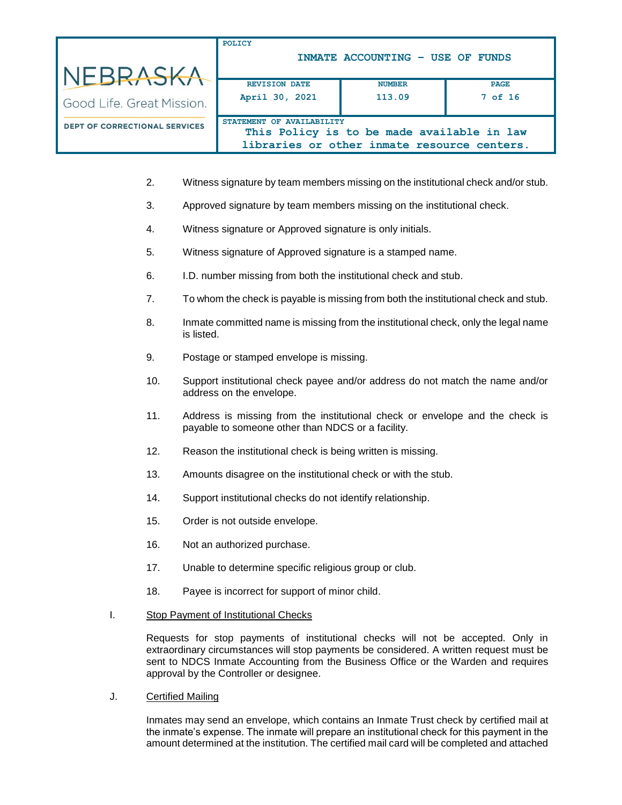|                                      | POLICY                    | INMATE ACCOUNTING - USE OF FUNDS                                                          |             |
|--------------------------------------|---------------------------|-------------------------------------------------------------------------------------------|-------------|
| NEBRASKA                             |                           |                                                                                           |             |
|                                      | <b>REVISION DATE</b>      | <b>NUMBER</b>                                                                             | <b>PAGE</b> |
| Good Life, Great Mission.            | April 30, 2021            | 113.09                                                                                    | $7$ of 16   |
| <b>DEPT OF CORRECTIONAL SERVICES</b> | STATEMENT OF AVAILABILITY |                                                                                           |             |
|                                      |                           | This Policy is to be made available in law<br>libraries or other inmate resource centers. |             |

- 2. Witness signature by team members missing on the institutional check and/or stub.
- 3. Approved signature by team members missing on the institutional check.
- 4. Witness signature or Approved signature is only initials.
- 5. Witness signature of Approved signature is a stamped name.
- 6. I.D. number missing from both the institutional check and stub.
- 7. To whom the check is payable is missing from both the institutional check and stub.
- 8. Inmate committed name is missing from the institutional check, only the legal name is listed.
- 9. Postage or stamped envelope is missing.
- 10. Support institutional check payee and/or address do not match the name and/or address on the envelope.
- 11. Address is missing from the institutional check or envelope and the check is payable to someone other than NDCS or a facility.
- 12. Reason the institutional check is being written is missing.
- 13. Amounts disagree on the institutional check or with the stub.
- 14. Support institutional checks do not identify relationship.
- 15. Order is not outside envelope.
- 16. Not an authorized purchase.
- 17. Unable to determine specific religious group or club.
- 18. Payee is incorrect for support of minor child.
- I. Stop Payment of Institutional Checks

Requests for stop payments of institutional checks will not be accepted. Only in extraordinary circumstances will stop payments be considered. A written request must be sent to NDCS Inmate Accounting from the Business Office or the Warden and requires approval by the Controller or designee.

J. Certified Mailing

Inmates may send an envelope, which contains an Inmate Trust check by certified mail at the inmate's expense. The inmate will prepare an institutional check for this payment in the amount determined at the institution. The certified mail card will be completed and attached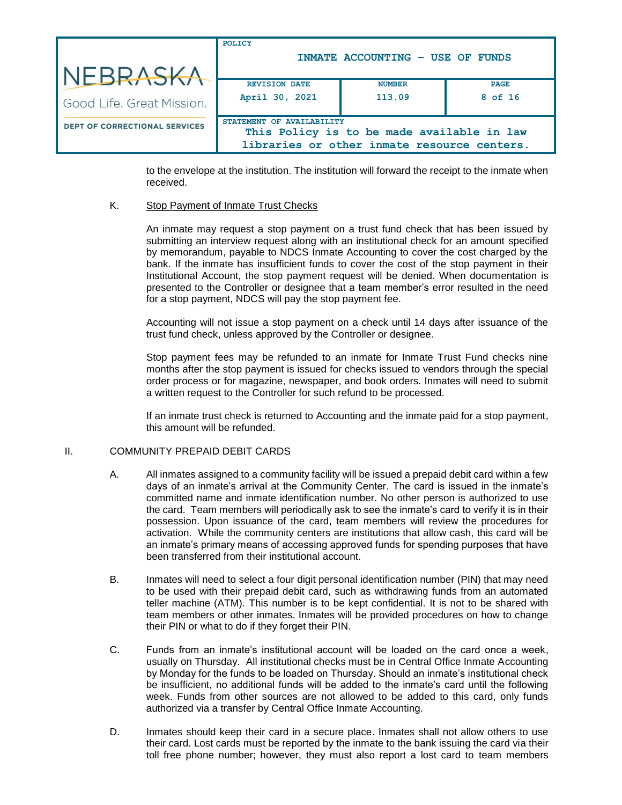| NEBRASKA                             | POLICY<br>INMATE ACCOUNTING - USE OF FUNDS |                                                                                           |                        |  |
|--------------------------------------|--------------------------------------------|-------------------------------------------------------------------------------------------|------------------------|--|
| Good Life. Great Mission.            | <b>REVISION DATE</b><br>April 30, 2021     | <b>NUMBER</b><br>113.09                                                                   | <b>PAGE</b><br>8 of 16 |  |
| <b>DEPT OF CORRECTIONAL SERVICES</b> | <b>STATEMENT</b><br>OF AVAILABILITY        | This Policy is to be made available in law<br>libraries or other inmate resource centers. |                        |  |

to the envelope at the institution. The institution will forward the receipt to the inmate when received.

### K. Stop Payment of Inmate Trust Checks

An inmate may request a stop payment on a trust fund check that has been issued by submitting an interview request along with an institutional check for an amount specified by memorandum, payable to NDCS Inmate Accounting to cover the cost charged by the bank. If the inmate has insufficient funds to cover the cost of the stop payment in their Institutional Account, the stop payment request will be denied. When documentation is presented to the Controller or designee that a team member's error resulted in the need for a stop payment, NDCS will pay the stop payment fee.

Accounting will not issue a stop payment on a check until 14 days after issuance of the trust fund check, unless approved by the Controller or designee.

Stop payment fees may be refunded to an inmate for Inmate Trust Fund checks nine months after the stop payment is issued for checks issued to vendors through the special order process or for magazine, newspaper, and book orders. Inmates will need to submit a written request to the Controller for such refund to be processed.

If an inmate trust check is returned to Accounting and the inmate paid for a stop payment, this amount will be refunded.

## II. COMMUNITY PREPAID DEBIT CARDS

- A. All inmates assigned to a community facility will be issued a prepaid debit card within a few days of an inmate's arrival at the Community Center. The card is issued in the inmate's committed name and inmate identification number. No other person is authorized to use the card. Team members will periodically ask to see the inmate's card to verify it is in their possession. Upon issuance of the card, team members will review the procedures for activation. While the community centers are institutions that allow cash, this card will be an inmate's primary means of accessing approved funds for spending purposes that have been transferred from their institutional account.
- B. Inmates will need to select a four digit personal identification number (PIN) that may need to be used with their prepaid debit card, such as withdrawing funds from an automated teller machine (ATM). This number is to be kept confidential. It is not to be shared with team members or other inmates. Inmates will be provided procedures on how to change their PIN or what to do if they forget their PIN.
- C. Funds from an inmate's institutional account will be loaded on the card once a week, usually on Thursday. All institutional checks must be in Central Office Inmate Accounting by Monday for the funds to be loaded on Thursday. Should an inmate's institutional check be insufficient, no additional funds will be added to the inmate's card until the following week. Funds from other sources are not allowed to be added to this card, only funds authorized via a transfer by Central Office Inmate Accounting.
- D. Inmates should keep their card in a secure place. Inmates shall not allow others to use their card. Lost cards must be reported by the inmate to the bank issuing the card via their toll free phone number; however, they must also report a lost card to team members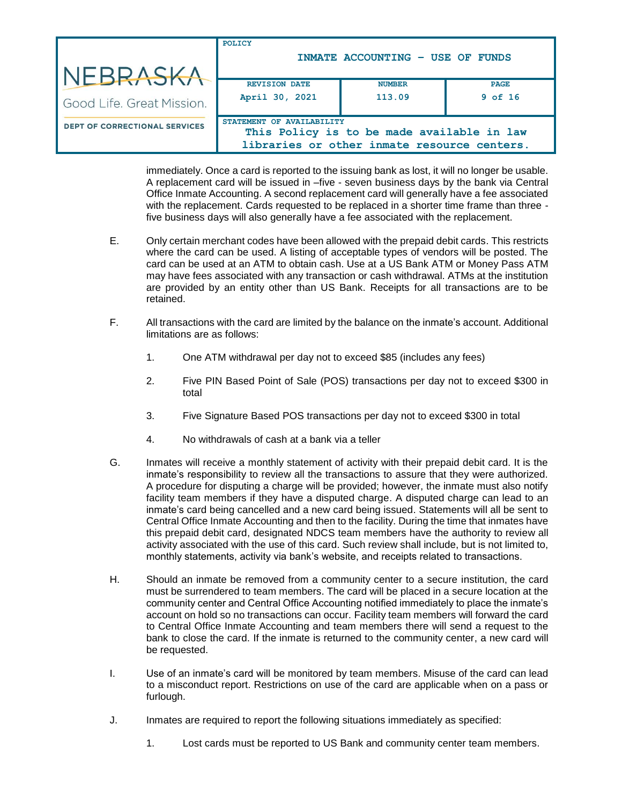|                                      | POLICY                    |                                             |             |
|--------------------------------------|---------------------------|---------------------------------------------|-------------|
|                                      |                           | INMATE ACCOUNTING - USE OF FUNDS            |             |
| NEBRASKA                             |                           |                                             |             |
|                                      | <b>REVISION DATE</b>      | <b>NUMBER</b>                               | <b>PAGE</b> |
| Good Life, Great Mission.            | April 30, 2021            | 113.09                                      | $9$ of 16   |
| <b>DEPT OF CORRECTIONAL SERVICES</b> | STATEMENT OF AVAILABILITY |                                             |             |
|                                      |                           | This Policy is to be made available in law  |             |
|                                      |                           | libraries or other inmate resource centers. |             |

immediately. Once a card is reported to the issuing bank as lost, it will no longer be usable. A replacement card will be issued in –five - seven business days by the bank via Central Office Inmate Accounting. A second replacement card will generally have a fee associated with the replacement. Cards requested to be replaced in a shorter time frame than three five business days will also generally have a fee associated with the replacement.

- E. Only certain merchant codes have been allowed with the prepaid debit cards. This restricts where the card can be used. A listing of acceptable types of vendors will be posted. The card can be used at an ATM to obtain cash. Use at a US Bank ATM or Money Pass ATM may have fees associated with any transaction or cash withdrawal. ATMs at the institution are provided by an entity other than US Bank. Receipts for all transactions are to be retained.
- F. All transactions with the card are limited by the balance on the inmate's account. Additional limitations are as follows:
	- 1. One ATM withdrawal per day not to exceed \$85 (includes any fees)
	- 2. Five PIN Based Point of Sale (POS) transactions per day not to exceed \$300 in total
	- 3. Five Signature Based POS transactions per day not to exceed \$300 in total
	- 4. No withdrawals of cash at a bank via a teller
- G. Inmates will receive a monthly statement of activity with their prepaid debit card. It is the inmate's responsibility to review all the transactions to assure that they were authorized. A procedure for disputing a charge will be provided; however, the inmate must also notify facility team members if they have a disputed charge. A disputed charge can lead to an inmate's card being cancelled and a new card being issued. Statements will all be sent to Central Office Inmate Accounting and then to the facility. During the time that inmates have this prepaid debit card, designated NDCS team members have the authority to review all activity associated with the use of this card. Such review shall include, but is not limited to, monthly statements, activity via bank's website, and receipts related to transactions.
- H. Should an inmate be removed from a community center to a secure institution, the card must be surrendered to team members. The card will be placed in a secure location at the community center and Central Office Accounting notified immediately to place the inmate's account on hold so no transactions can occur. Facility team members will forward the card to Central Office Inmate Accounting and team members there will send a request to the bank to close the card. If the inmate is returned to the community center, a new card will be requested.
- I. Use of an inmate's card will be monitored by team members. Misuse of the card can lead to a misconduct report. Restrictions on use of the card are applicable when on a pass or furlough.
- J. Inmates are required to report the following situations immediately as specified:
	- 1. Lost cards must be reported to US Bank and community center team members.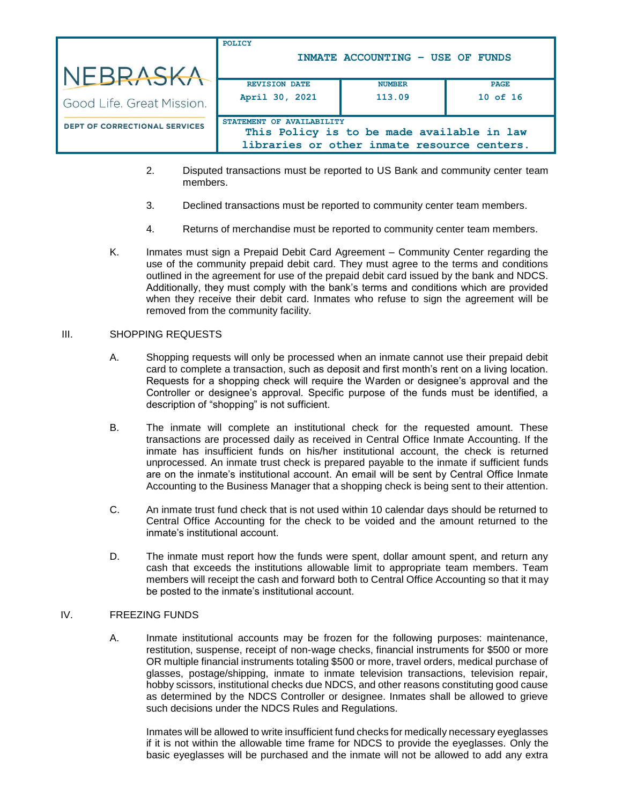| NEBRASKA                             | POLICY                                 | INMATE ACCOUNTING - USE OF FUNDS                                                          |                             |
|--------------------------------------|----------------------------------------|-------------------------------------------------------------------------------------------|-----------------------------|
| Good Life. Great Mission.            | <b>REVISION DATE</b><br>April 30, 2021 | <b>NUMBER</b><br>113.09                                                                   | <b>PAGE</b><br>$10$ of $16$ |
| <b>DEPT OF CORRECTIONAL SERVICES</b> | STATEMENT OF AVAILABILITY              | This Policy is to be made available in law<br>libraries or other inmate resource centers. |                             |

- 2. Disputed transactions must be reported to US Bank and community center team members.
- 3. Declined transactions must be reported to community center team members.
- 4. Returns of merchandise must be reported to community center team members.
- K. Inmates must sign a Prepaid Debit Card Agreement Community Center regarding the use of the community prepaid debit card. They must agree to the terms and conditions outlined in the agreement for use of the prepaid debit card issued by the bank and NDCS. Additionally, they must comply with the bank's terms and conditions which are provided when they receive their debit card. Inmates who refuse to sign the agreement will be removed from the community facility.

#### III. SHOPPING REQUESTS

- A. Shopping requests will only be processed when an inmate cannot use their prepaid debit card to complete a transaction, such as deposit and first month's rent on a living location. Requests for a shopping check will require the Warden or designee's approval and the Controller or designee's approval. Specific purpose of the funds must be identified, a description of "shopping" is not sufficient.
- B. The inmate will complete an institutional check for the requested amount. These transactions are processed daily as received in Central Office Inmate Accounting. If the inmate has insufficient funds on his/her institutional account, the check is returned unprocessed. An inmate trust check is prepared payable to the inmate if sufficient funds are on the inmate's institutional account. An email will be sent by Central Office Inmate Accounting to the Business Manager that a shopping check is being sent to their attention.
- C. An inmate trust fund check that is not used within 10 calendar days should be returned to Central Office Accounting for the check to be voided and the amount returned to the inmate's institutional account.
- D. The inmate must report how the funds were spent, dollar amount spent, and return any cash that exceeds the institutions allowable limit to appropriate team members. Team members will receipt the cash and forward both to Central Office Accounting so that it may be posted to the inmate's institutional account.

#### IV. FREEZING FUNDS

A. Inmate institutional accounts may be frozen for the following purposes: maintenance, restitution, suspense, receipt of non-wage checks, financial instruments for \$500 or more OR multiple financial instruments totaling \$500 or more, travel orders, medical purchase of glasses, postage/shipping, inmate to inmate television transactions, television repair, hobby scissors, institutional checks due NDCS, and other reasons constituting good cause as determined by the NDCS Controller or designee. Inmates shall be allowed to grieve such decisions under the NDCS Rules and Regulations.

Inmates will be allowed to write insufficient fund checks for medically necessary eyeglasses if it is not within the allowable time frame for NDCS to provide the eyeglasses. Only the basic eyeglasses will be purchased and the inmate will not be allowed to add any extra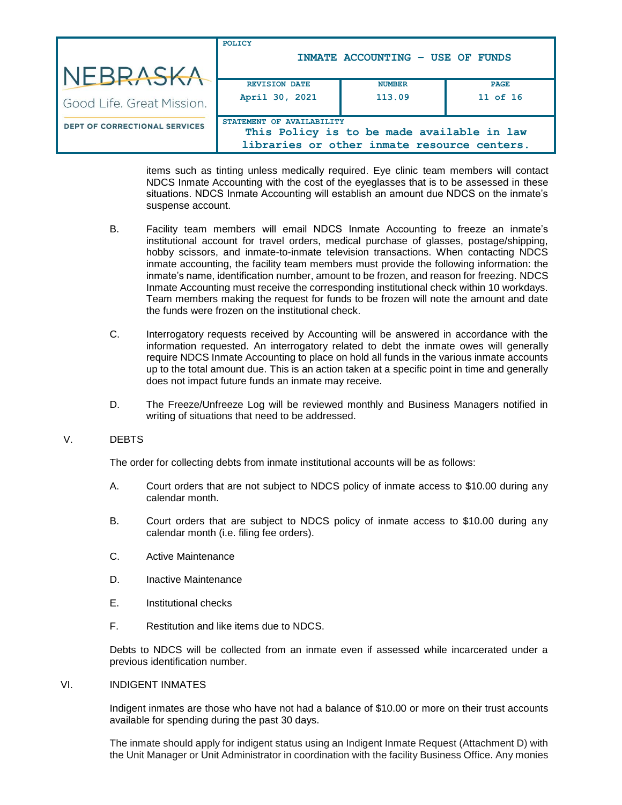|                                      | POLICY                                                                                    | INMATE ACCOUNTING - USE OF FUNDS |             |
|--------------------------------------|-------------------------------------------------------------------------------------------|----------------------------------|-------------|
| NEBRASKA                             |                                                                                           |                                  |             |
|                                      | <b>REVISION DATE</b>                                                                      | <b>NUMBER</b>                    | <b>PAGE</b> |
| Good Life. Great Mission.            | April 30, 2021                                                                            | 113.09                           | 11 of 16    |
| <b>DEPT OF CORRECTIONAL SERVICES</b> | STATEMENT OF AVAILABILITY                                                                 |                                  |             |
|                                      | This Policy is to be made available in law<br>libraries or other inmate resource centers. |                                  |             |

items such as tinting unless medically required. Eye clinic team members will contact NDCS Inmate Accounting with the cost of the eyeglasses that is to be assessed in these situations. NDCS Inmate Accounting will establish an amount due NDCS on the inmate's suspense account.

- B. Facility team members will email NDCS Inmate Accounting to freeze an inmate's institutional account for travel orders, medical purchase of glasses, postage/shipping, hobby scissors, and inmate-to-inmate television transactions. When contacting NDCS inmate accounting, the facility team members must provide the following information: the inmate's name, identification number, amount to be frozen, and reason for freezing. NDCS Inmate Accounting must receive the corresponding institutional check within 10 workdays. Team members making the request for funds to be frozen will note the amount and date the funds were frozen on the institutional check.
- C. Interrogatory requests received by Accounting will be answered in accordance with the information requested. An interrogatory related to debt the inmate owes will generally require NDCS Inmate Accounting to place on hold all funds in the various inmate accounts up to the total amount due. This is an action taken at a specific point in time and generally does not impact future funds an inmate may receive.
- D. The Freeze/Unfreeze Log will be reviewed monthly and Business Managers notified in writing of situations that need to be addressed.

#### V. DEBTS

The order for collecting debts from inmate institutional accounts will be as follows:

- A. Court orders that are not subject to NDCS policy of inmate access to \$10.00 during any calendar month.
- B. Court orders that are subject to NDCS policy of inmate access to \$10.00 during any calendar month (i.e. filing fee orders).
- C. Active Maintenance
- D. Inactive Maintenance
- E. Institutional checks
- F. Restitution and like items due to NDCS.

Debts to NDCS will be collected from an inmate even if assessed while incarcerated under a previous identification number.

#### VI. INDIGENT INMATES

Indigent inmates are those who have not had a balance of \$10.00 or more on their trust accounts available for spending during the past 30 days.

The inmate should apply for indigent status using an Indigent Inmate Request (Attachment D) with the Unit Manager or Unit Administrator in coordination with the facility Business Office. Any monies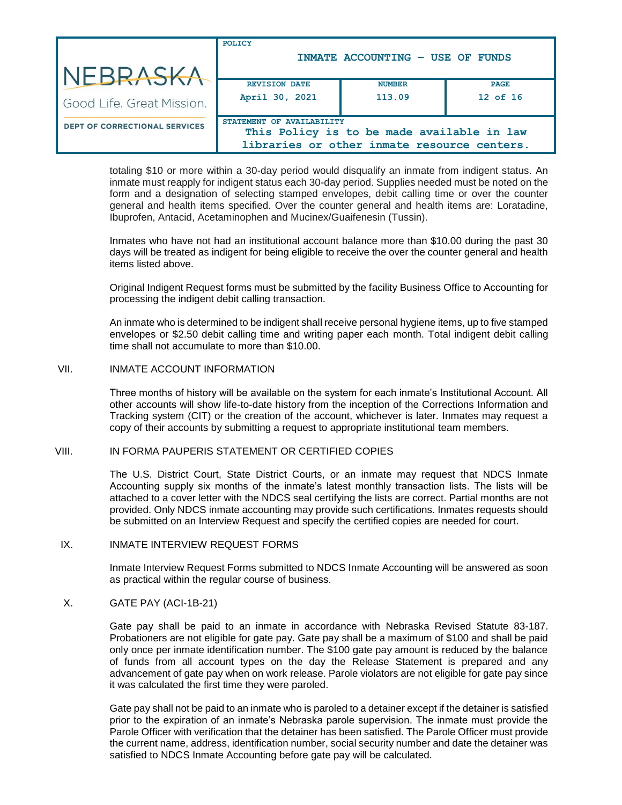|                                      | POLICY                                                                                    | INMATE ACCOUNTING - USE OF FUNDS |             |
|--------------------------------------|-------------------------------------------------------------------------------------------|----------------------------------|-------------|
| NEBRASKA                             |                                                                                           |                                  |             |
|                                      | <b>REVISION DATE</b>                                                                      | <b>NUMBER</b>                    | <b>PAGE</b> |
| Good Life, Great Mission.            | April 30, 2021                                                                            | 113.09                           | 12 of 16    |
| <b>DEPT OF CORRECTIONAL SERVICES</b> | STATEMENT OF AVAILABILITY                                                                 |                                  |             |
|                                      | This Policy is to be made available in law<br>libraries or other inmate resource centers. |                                  |             |

totaling \$10 or more within a 30-day period would disqualify an inmate from indigent status. An inmate must reapply for indigent status each 30-day period. Supplies needed must be noted on the form and a designation of selecting stamped envelopes, debit calling time or over the counter general and health items specified. Over the counter general and health items are: Loratadine, Ibuprofen, Antacid, Acetaminophen and Mucinex/Guaifenesin (Tussin).

Inmates who have not had an institutional account balance more than \$10.00 during the past 30 days will be treated as indigent for being eligible to receive the over the counter general and health items listed above.

Original Indigent Request forms must be submitted by the facility Business Office to Accounting for processing the indigent debit calling transaction.

An inmate who is determined to be indigent shall receive personal hygiene items, up to five stamped envelopes or \$2.50 debit calling time and writing paper each month. Total indigent debit calling time shall not accumulate to more than \$10.00.

### VII. INMATE ACCOUNT INFORMATION

Three months of history will be available on the system for each inmate's Institutional Account. All other accounts will show life-to-date history from the inception of the Corrections Information and Tracking system (CIT) or the creation of the account, whichever is later. Inmates may request a copy of their accounts by submitting a request to appropriate institutional team members.

#### VIII. IN FORMA PAUPERIS STATEMENT OR CERTIFIED COPIES

The U.S. District Court, State District Courts, or an inmate may request that NDCS Inmate Accounting supply six months of the inmate's latest monthly transaction lists. The lists will be attached to a cover letter with the NDCS seal certifying the lists are correct. Partial months are not provided. Only NDCS inmate accounting may provide such certifications. Inmates requests should be submitted on an Interview Request and specify the certified copies are needed for court.

#### IX. INMATE INTERVIEW REQUEST FORMS

Inmate Interview Request Forms submitted to NDCS Inmate Accounting will be answered as soon as practical within the regular course of business.

## X. GATE PAY (ACI-1B-21)

Gate pay shall be paid to an inmate in accordance with Nebraska Revised Statute 83-187. Probationers are not eligible for gate pay. Gate pay shall be a maximum of \$100 and shall be paid only once per inmate identification number. The \$100 gate pay amount is reduced by the balance of funds from all account types on the day the Release Statement is prepared and any advancement of gate pay when on work release. Parole violators are not eligible for gate pay since it was calculated the first time they were paroled.

Gate pay shall not be paid to an inmate who is paroled to a detainer except if the detainer is satisfied prior to the expiration of an inmate's Nebraska parole supervision. The inmate must provide the Parole Officer with verification that the detainer has been satisfied. The Parole Officer must provide the current name, address, identification number, social security number and date the detainer was satisfied to NDCS Inmate Accounting before gate pay will be calculated.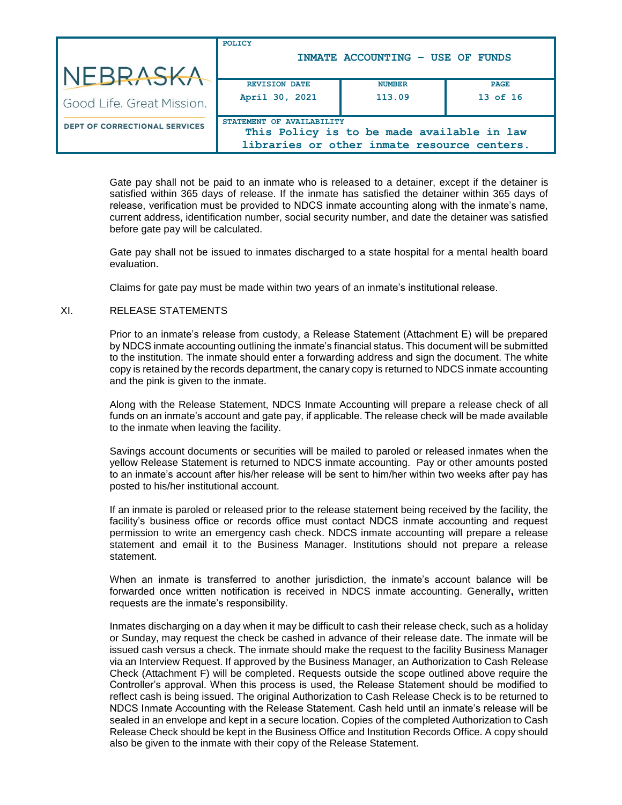|                                      | POLICY                                                                                                                 | INMATE ACCOUNTING - USE OF FUNDS |             |
|--------------------------------------|------------------------------------------------------------------------------------------------------------------------|----------------------------------|-------------|
| NEBRASKA                             |                                                                                                                        |                                  |             |
|                                      | <b>REVISION DATE</b>                                                                                                   | <b>NUMBER</b>                    | <b>PAGE</b> |
| Good Life, Great Mission.            | April 30, 2021                                                                                                         | 113.09                           | 13 of 16    |
| <b>DEPT OF CORRECTIONAL SERVICES</b> | STATEMENT OF AVAILABILITY<br>This Policy is to be made available in law<br>libraries or other inmate resource centers. |                                  |             |
|                                      |                                                                                                                        |                                  |             |

Gate pay shall not be paid to an inmate who is released to a detainer, except if the detainer is satisfied within 365 days of release. If the inmate has satisfied the detainer within 365 days of release, verification must be provided to NDCS inmate accounting along with the inmate's name, current address, identification number, social security number, and date the detainer was satisfied before gate pay will be calculated.

Gate pay shall not be issued to inmates discharged to a state hospital for a mental health board evaluation.

Claims for gate pay must be made within two years of an inmate's institutional release.

### XI. RELEASE STATEMENTS

Prior to an inmate's release from custody, a Release Statement (Attachment E) will be prepared by NDCS inmate accounting outlining the inmate's financial status. This document will be submitted to the institution. The inmate should enter a forwarding address and sign the document. The white copy is retained by the records department, the canary copy is returned to NDCS inmate accounting and the pink is given to the inmate.

Along with the Release Statement, NDCS Inmate Accounting will prepare a release check of all funds on an inmate's account and gate pay, if applicable. The release check will be made available to the inmate when leaving the facility.

Savings account documents or securities will be mailed to paroled or released inmates when the yellow Release Statement is returned to NDCS inmate accounting. Pay or other amounts posted to an inmate's account after his/her release will be sent to him/her within two weeks after pay has posted to his/her institutional account.

If an inmate is paroled or released prior to the release statement being received by the facility, the facility's business office or records office must contact NDCS inmate accounting and request permission to write an emergency cash check. NDCS inmate accounting will prepare a release statement and email it to the Business Manager. Institutions should not prepare a release statement.

When an inmate is transferred to another jurisdiction, the inmate's account balance will be forwarded once written notification is received in NDCS inmate accounting. Generally**,** written requests are the inmate's responsibility.

Inmates discharging on a day when it may be difficult to cash their release check, such as a holiday or Sunday, may request the check be cashed in advance of their release date. The inmate will be issued cash versus a check. The inmate should make the request to the facility Business Manager via an Interview Request. If approved by the Business Manager, an Authorization to Cash Release Check (Attachment F) will be completed. Requests outside the scope outlined above require the Controller's approval. When this process is used, the Release Statement should be modified to reflect cash is being issued. The original Authorization to Cash Release Check is to be returned to NDCS Inmate Accounting with the Release Statement. Cash held until an inmate's release will be sealed in an envelope and kept in a secure location. Copies of the completed Authorization to Cash Release Check should be kept in the Business Office and Institution Records Office. A copy should also be given to the inmate with their copy of the Release Statement.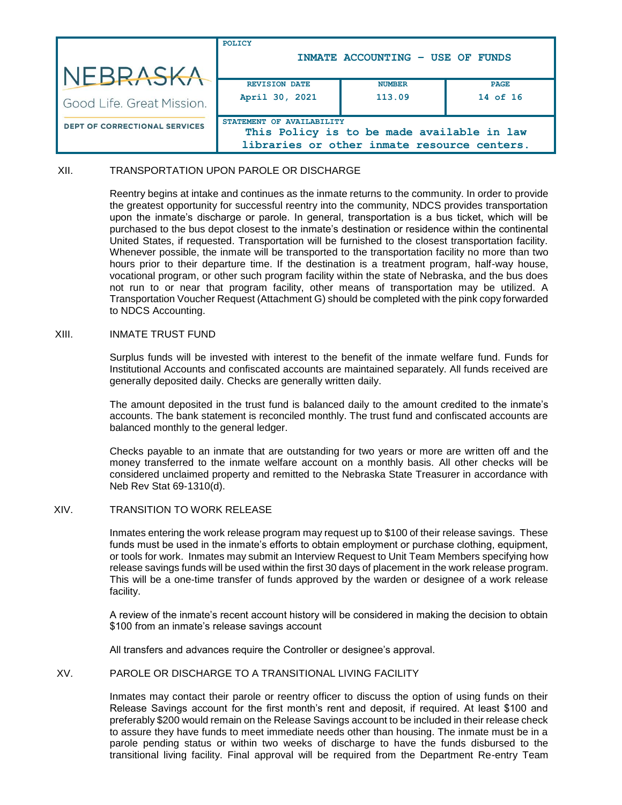|                                      | POLICY                                                                                                                 | INMATE ACCOUNTING - USE OF FUNDS |             |
|--------------------------------------|------------------------------------------------------------------------------------------------------------------------|----------------------------------|-------------|
| NEBRASKA                             |                                                                                                                        |                                  |             |
|                                      | <b>REVISION DATE</b>                                                                                                   | <b>NUMBER</b>                    | <b>PAGE</b> |
| Good Life, Great Mission.            | April 30, 2021                                                                                                         | 113.09                           | 14 of 16    |
| <b>DEPT OF CORRECTIONAL SERVICES</b> | STATEMENT OF AVAILABILITY<br>This Policy is to be made available in law<br>libraries or other inmate resource centers. |                                  |             |

## XII. TRANSPORTATION UPON PAROLE OR DISCHARGE

Reentry begins at intake and continues as the inmate returns to the community. In order to provide the greatest opportunity for successful reentry into the community, NDCS provides transportation upon the inmate's discharge or parole. In general, transportation is a bus ticket, which will be purchased to the bus depot closest to the inmate's destination or residence within the continental United States, if requested. Transportation will be furnished to the closest transportation facility. Whenever possible, the inmate will be transported to the transportation facility no more than two hours prior to their departure time. If the destination is a treatment program, half-way house, vocational program, or other such program facility within the state of Nebraska, and the bus does not run to or near that program facility, other means of transportation may be utilized. A Transportation Voucher Request (Attachment G) should be completed with the pink copy forwarded to NDCS Accounting.

#### XIII. INMATE TRUST FUND

Surplus funds will be invested with interest to the benefit of the inmate welfare fund. Funds for Institutional Accounts and confiscated accounts are maintained separately. All funds received are generally deposited daily. Checks are generally written daily.

The amount deposited in the trust fund is balanced daily to the amount credited to the inmate's accounts. The bank statement is reconciled monthly. The trust fund and confiscated accounts are balanced monthly to the general ledger.

Checks payable to an inmate that are outstanding for two years or more are written off and the money transferred to the inmate welfare account on a monthly basis. All other checks will be considered unclaimed property and remitted to the Nebraska State Treasurer in accordance with Neb Rev Stat 69-1310(d).

### XIV. TRANSITION TO WORK RELEASE

Inmates entering the work release program may request up to \$100 of their release savings. These funds must be used in the inmate's efforts to obtain employment or purchase clothing, equipment, or tools for work. Inmates may submit an Interview Request to Unit Team Members specifying how release savings funds will be used within the first 30 days of placement in the work release program. This will be a one-time transfer of funds approved by the warden or designee of a work release facility.

A review of the inmate's recent account history will be considered in making the decision to obtain \$100 from an inmate's release savings account

All transfers and advances require the Controller or designee's approval.

### XV. PAROLE OR DISCHARGE TO A TRANSITIONAL LIVING FACILITY

Inmates may contact their parole or reentry officer to discuss the option of using funds on their Release Savings account for the first month's rent and deposit, if required. At least \$100 and preferably \$200 would remain on the Release Savings account to be included in their release check to assure they have funds to meet immediate needs other than housing. The inmate must be in a parole pending status or within two weeks of discharge to have the funds disbursed to the transitional living facility. Final approval will be required from the Department Re-entry Team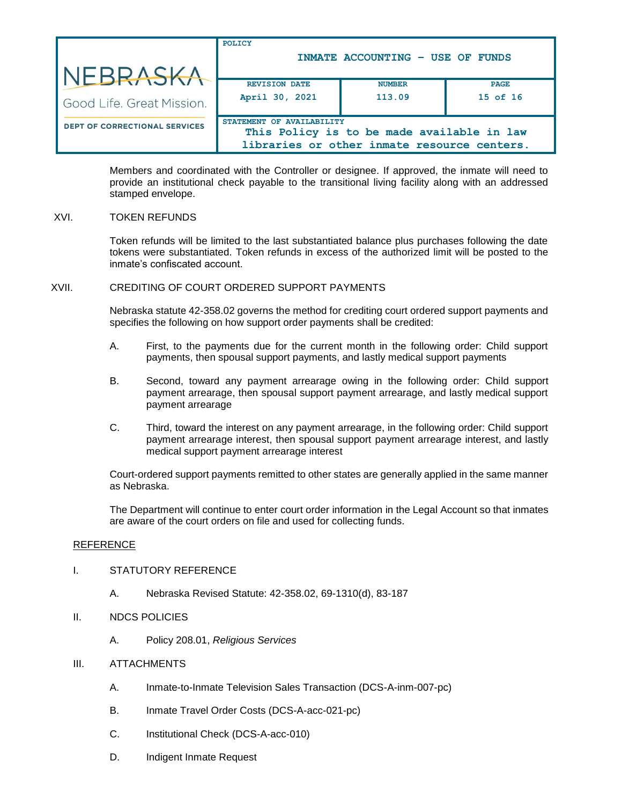| NEBRASKA                             | <b>POLICY</b><br>INMATE ACCOUNTING - USE OF FUNDS                                                                      |                         |                         |
|--------------------------------------|------------------------------------------------------------------------------------------------------------------------|-------------------------|-------------------------|
| Good Life. Great Mission.            | <b>REVISION DATE</b><br>April 30, 2021                                                                                 | <b>NUMBER</b><br>113.09 | <b>PAGE</b><br>15 of 16 |
| <b>DEPT OF CORRECTIONAL SERVICES</b> | STATEMENT OF AVAILABILITY<br>This Policy is to be made available in law<br>libraries or other inmate resource centers. |                         |                         |

Members and coordinated with the Controller or designee. If approved, the inmate will need to provide an institutional check payable to the transitional living facility along with an addressed stamped envelope.

## XVI. TOKEN REFUNDS

Token refunds will be limited to the last substantiated balance plus purchases following the date tokens were substantiated. Token refunds in excess of the authorized limit will be posted to the inmate's confiscated account.

### XVII. CREDITING OF COURT ORDERED SUPPORT PAYMENTS

Nebraska statute 42-358.02 governs the method for crediting court ordered support payments and specifies the following on how support order payments shall be credited:

- A. First, to the payments due for the current month in the following order: Child support payments, then spousal support payments, and lastly medical support payments
- B. Second, toward any payment arrearage owing in the following order: Child support payment arrearage, then spousal support payment arrearage, and lastly medical support payment arrearage
- C. Third, toward the interest on any payment arrearage, in the following order: Child support payment arrearage interest, then spousal support payment arrearage interest, and lastly medical support payment arrearage interest

Court-ordered support payments remitted to other states are generally applied in the same manner as Nebraska.

The Department will continue to enter court order information in the Legal Account so that inmates are aware of the court orders on file and used for collecting funds.

#### REFERENCE

### I. STATUTORY REFERENCE

- A. Nebraska Revised Statute: 42-358.02, 69-1310(d), 83-187
- II. NDCS POLICIES
	- A. Policy 208.01, *Religious Services*

#### III. ATTACHMENTS

- A. Inmate-to-Inmate Television Sales Transaction (DCS-A-inm-007-pc)
- B. Inmate Travel Order Costs (DCS-A-acc-021-pc)
- C. Institutional Check (DCS-A-acc-010)
- D. Indigent Inmate Request